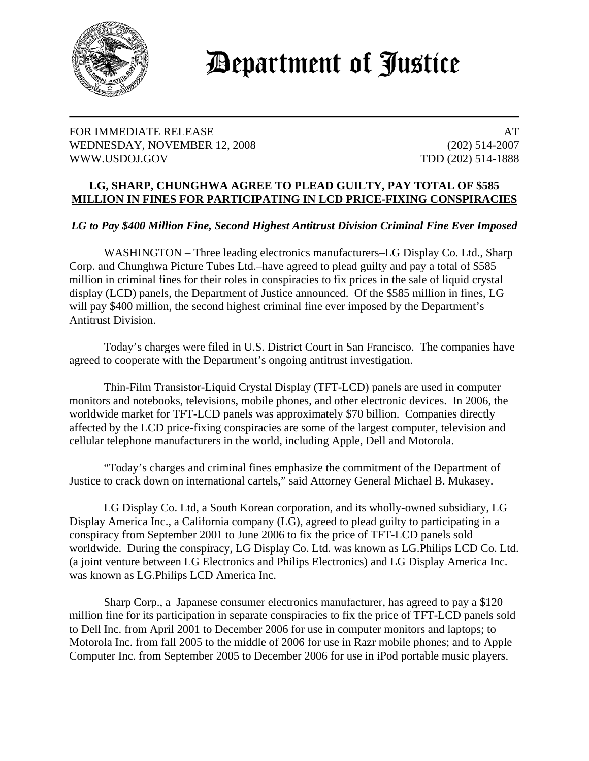

## Department of Justice

## FOR IMMEDIATE RELEASE AT A SERIES AND A SERIES AND A SERIES AND A SERIES AND A SERIES AND A SERIES AND A SERIES AND A SERIES AND A SERIES ASSESSED AS A SERIES AND A SERIES ASSESSED ASSESSED AS A SERIES ASSESSED AS A SERIES WEDNESDAY, NOVEMBER 12, 2008 (202) 514-2007 WWW.USDOJ.GOV TDD (202) 514-1888

## **LG, SHARP, CHUNGHWA AGREE TO PLEAD GUILTY, PAY TOTAL OF \$585 MILLION IN FINES FOR PARTICIPATING IN LCD PRICE-FIXING CONSPIRACIES**

## *LG to Pay \$400 Million Fine, Second Highest Antitrust Division Criminal Fine Ever Imposed*

WASHINGTON – Three leading electronics manufacturers–LG Display Co. Ltd., Sharp Corp. and Chunghwa Picture Tubes Ltd.–have agreed to plead guilty and pay a total of \$585 million in criminal fines for their roles in conspiracies to fix prices in the sale of liquid crystal display (LCD) panels, the Department of Justice announced. Of the \$585 million in fines, LG will pay \$400 million, the second highest criminal fine ever imposed by the Department's Antitrust Division.

Today's charges were filed in U.S. District Court in San Francisco. The companies have agreed to cooperate with the Department's ongoing antitrust investigation.

Thin-Film Transistor-Liquid Crystal Display (TFT-LCD) panels are used in computer monitors and notebooks, televisions, mobile phones, and other electronic devices. In 2006, the worldwide market for TFT-LCD panels was approximately \$70 billion. Companies directly affected by the LCD price-fixing conspiracies are some of the largest computer, television and cellular telephone manufacturers in the world, including Apple, Dell and Motorola.

"Today's charges and criminal fines emphasize the commitment of the Department of Justice to crack down on international cartels," said Attorney General Michael B. Mukasey.

LG Display Co. Ltd, a South Korean corporation, and its wholly-owned subsidiary, LG Display America Inc., a California company (LG), agreed to plead guilty to participating in a conspiracy from September 2001 to June 2006 to fix the price of TFT-LCD panels sold worldwide. During the conspiracy, LG Display Co. Ltd. was known as LG.Philips LCD Co. Ltd. (a joint venture between LG Electronics and Philips Electronics) and LG Display America Inc. was known as LG.Philips LCD America Inc.

Sharp Corp., a Japanese consumer electronics manufacturer, has agreed to pay a \$120 million fine for its participation in separate conspiracies to fix the price of TFT-LCD panels sold to Dell Inc. from April 2001 to December 2006 for use in computer monitors and laptops; to Motorola Inc. from fall 2005 to the middle of 2006 for use in Razr mobile phones; and to Apple Computer Inc. from September 2005 to December 2006 for use in iPod portable music players.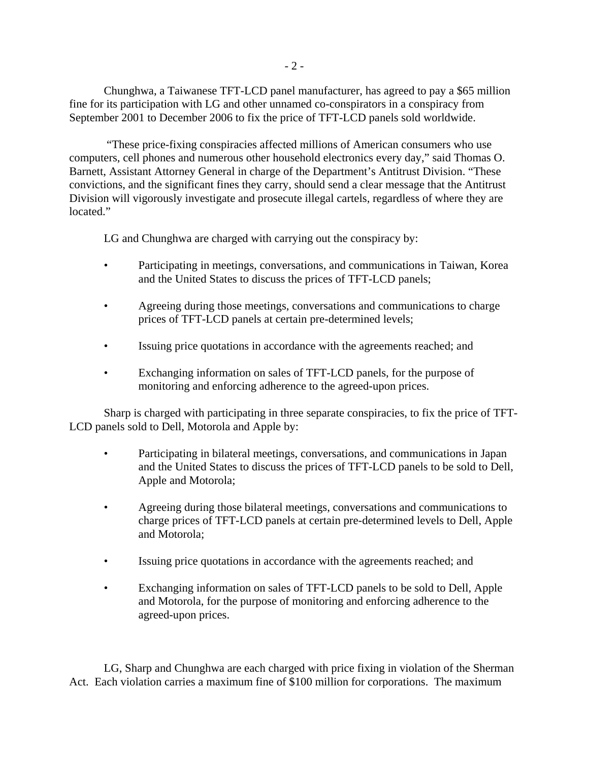Chunghwa, a Taiwanese TFT-LCD panel manufacturer, has agreed to pay a \$65 million fine for its participation with LG and other unnamed co-conspirators in a conspiracy from September 2001 to December 2006 to fix the price of TFT-LCD panels sold worldwide.

 "These price-fixing conspiracies affected millions of American consumers who use computers, cell phones and numerous other household electronics every day," said Thomas O. Barnett, Assistant Attorney General in charge of the Department's Antitrust Division. "These convictions, and the significant fines they carry, should send a clear message that the Antitrust Division will vigorously investigate and prosecute illegal cartels, regardless of where they are located."

LG and Chunghwa are charged with carrying out the conspiracy by:

- Participating in meetings, conversations, and communications in Taiwan, Korea and the United States to discuss the prices of TFT-LCD panels;
- Agreeing during those meetings, conversations and communications to charge prices of TFT-LCD panels at certain pre-determined levels;
- Issuing price quotations in accordance with the agreements reached; and
- Exchanging information on sales of TFT-LCD panels, for the purpose of monitoring and enforcing adherence to the agreed-upon prices.

Sharp is charged with participating in three separate conspiracies, to fix the price of TFT-LCD panels sold to Dell, Motorola and Apple by:

- Participating in bilateral meetings, conversations, and communications in Japan and the United States to discuss the prices of TFT-LCD panels to be sold to Dell, Apple and Motorola;
- Agreeing during those bilateral meetings, conversations and communications to charge prices of TFT-LCD panels at certain pre-determined levels to Dell, Apple and Motorola;
- Issuing price quotations in accordance with the agreements reached; and
- Exchanging information on sales of TFT-LCD panels to be sold to Dell, Apple and Motorola, for the purpose of monitoring and enforcing adherence to the agreed-upon prices.

LG, Sharp and Chunghwa are each charged with price fixing in violation of the Sherman Act. Each violation carries a maximum fine of \$100 million for corporations. The maximum